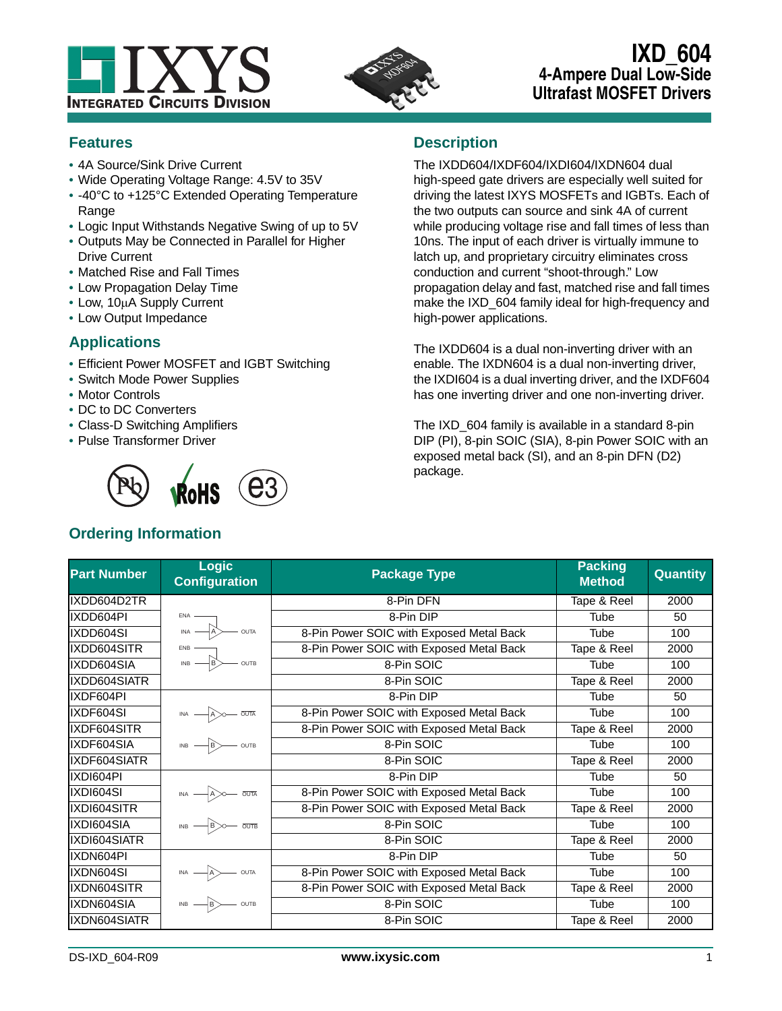



# **IXD\_604 4-Ampere Dual Low-Side Ultrafast MOSFET Drivers**

## **Features**

- **•** 4A Source/Sink Drive Current
- **•** Wide Operating Voltage Range: 4.5V to 35V
- **•** -40°C to +125°C Extended Operating Temperature Range
- **•** Logic Input Withstands Negative Swing of up to 5V
- **•** Outputs May be Connected in Parallel for Higher Drive Current
- **•** Matched Rise and Fall Times
- **•** Low Propagation Delay Time
- Low, 10µA Supply Current
- **•** Low Output Impedance

## **Applications**

- **•** Efficient Power MOSFET and IGBT Switching
- **•** Switch Mode Power Supplies
- **•** Motor Controls
- **•** DC to DC Converters
- **•** Class-D Switching Amplifiers
- **•** Pulse Transformer Driver



# **Ordering Information**

## **Description**

The IXDD604/IXDF604/IXDI604/IXDN604 dual high-speed gate drivers are especially well suited for driving the latest IXYS MOSFETs and IGBTs. Each of the two outputs can source and sink 4A of current while producing voltage rise and fall times of less than 10ns. The input of each driver is virtually immune to latch up, and proprietary circuitry eliminates cross conduction and current "shoot-through." Low propagation delay and fast, matched rise and fall times make the IXD 604 family ideal for high-frequency and high-power applications.

The IXDD604 is a dual non-inverting driver with an enable. The IXDN604 is a dual non-inverting driver, the IXDI604 is a dual inverting driver, and the IXDF604 has one inverting driver and one non-inverting driver.

The IXD\_604 family is available in a standard 8-pin DIP (PI), 8-pin SOIC (SIA), 8-pin Power SOIC with an exposed metal back (SI), and an 8-pin DFN (D2) package.

| <b>Part Number</b> | <b>Logic</b><br><b>Configuration</b>                            | <b>Package Type</b>                      | <b>Packing</b><br><b>Method</b> | <b>Quantity</b> |
|--------------------|-----------------------------------------------------------------|------------------------------------------|---------------------------------|-----------------|
| IXDD604D2TR        |                                                                 | 8-Pin DFN                                | Tape & Reel                     | 2000            |
| IXDD604PI          | $ENA -$                                                         | 8-Pin DIP                                | Tube                            | 50              |
| IXDD604SI          | $\overline{I}$ INA $\overline{A}$<br>$-$ OUTA                   | 8-Pin Power SOIC with Exposed Metal Back | Tube                            | 100             |
| IXDD604SITR        | $\overline{AB}$                                                 | 8-Pin Power SOIC with Exposed Metal Back | Tape & Reel                     | 2000            |
| IXDD604SIA         | $-\overline{\overline{\text{out}}}$                             | 8-Pin SOIC                               | Tube                            | 100             |
| IXDD604SIATR       |                                                                 | 8-Pin SOIC                               | Tape & Reel                     | 2000            |
| IXDF604PI          |                                                                 | 8-Pin DIP                                | Tube                            | 50              |
| IXDF604SI          | $INA$ $\longrightarrow$ $A$ $\rightarrow$ $\overline{OUTA}$     | 8-Pin Power SOIC with Exposed Metal Back | Tube                            | 100             |
| IXDF604SITR        |                                                                 | 8-Pin Power SOIC with Exposed Metal Back | Tape & Reel                     | 2000            |
| IXDF604SIA         | $\overline{AB}$ $\rightarrow$ 00TB                              | 8-Pin SOIC                               | Tube                            | 100             |
| IXDF604SIATR       |                                                                 | 8-Pin SOIC                               | Tape & Reel                     | 2000            |
| IXDI604PI          |                                                                 | 8-Pin DIP                                | Tube                            | 50              |
| IXDI604SI          | $INA$ $\longrightarrow$ $A$ $\longrightarrow$ $\overline{OUTA}$ | 8-Pin Power SOIC with Exposed Metal Back | Tube                            | 100             |
| IXDI604SITR        |                                                                 | 8-Pin Power SOIC with Exposed Metal Back | Tape & Reel                     | 2000            |
| IXDI604SIA         | $IB \longrightarrow B \longrightarrow 0$                        | 8-Pin SOIC                               | Tube                            | 100             |
| IXDI604SIATR       |                                                                 | 8-Pin SOIC                               | Tape & Reel                     | 2000            |
| IXDN604PI          |                                                                 | 8-Pin DIP                                | Tube                            | 50              |
| IXDN604SI          |                                                                 | 8-Pin Power SOIC with Exposed Metal Back | Tube                            | 100             |
| IXDN604SITR        |                                                                 | 8-Pin Power SOIC with Exposed Metal Back | Tape & Reel                     | 2000            |
| IXDN604SIA         | $INB$ $\neg B$ outs                                             | 8-Pin SOIC                               | Tube                            | 100             |
| IXDN604SIATR       |                                                                 | 8-Pin SOIC                               | Tape & Reel                     | 2000            |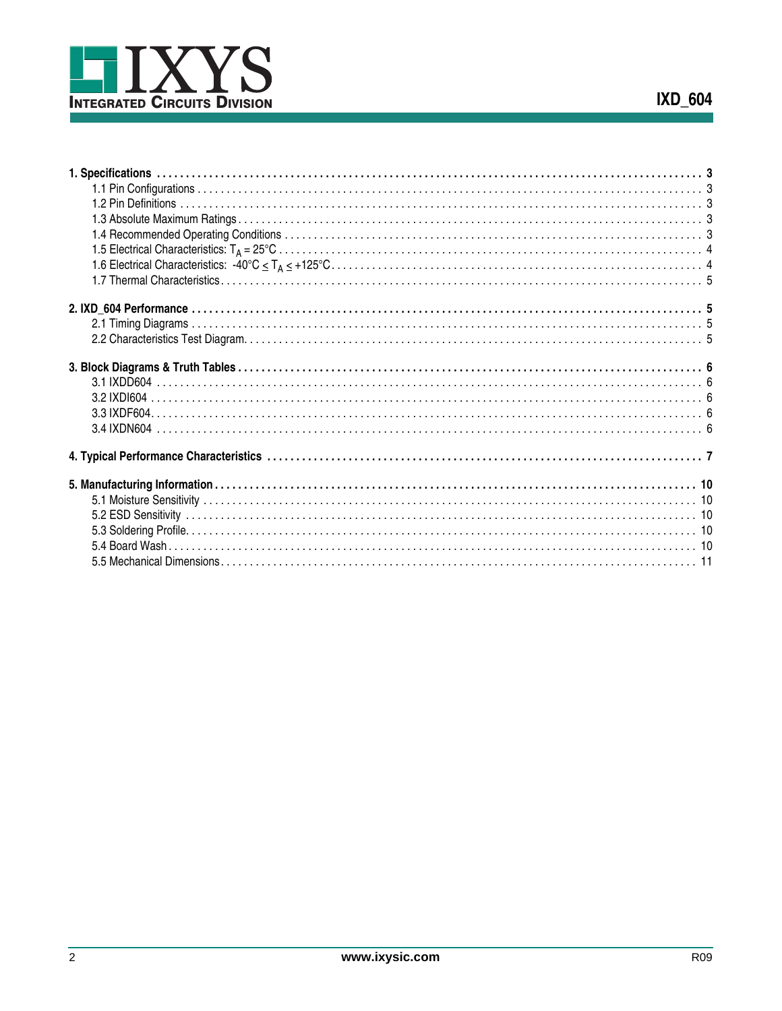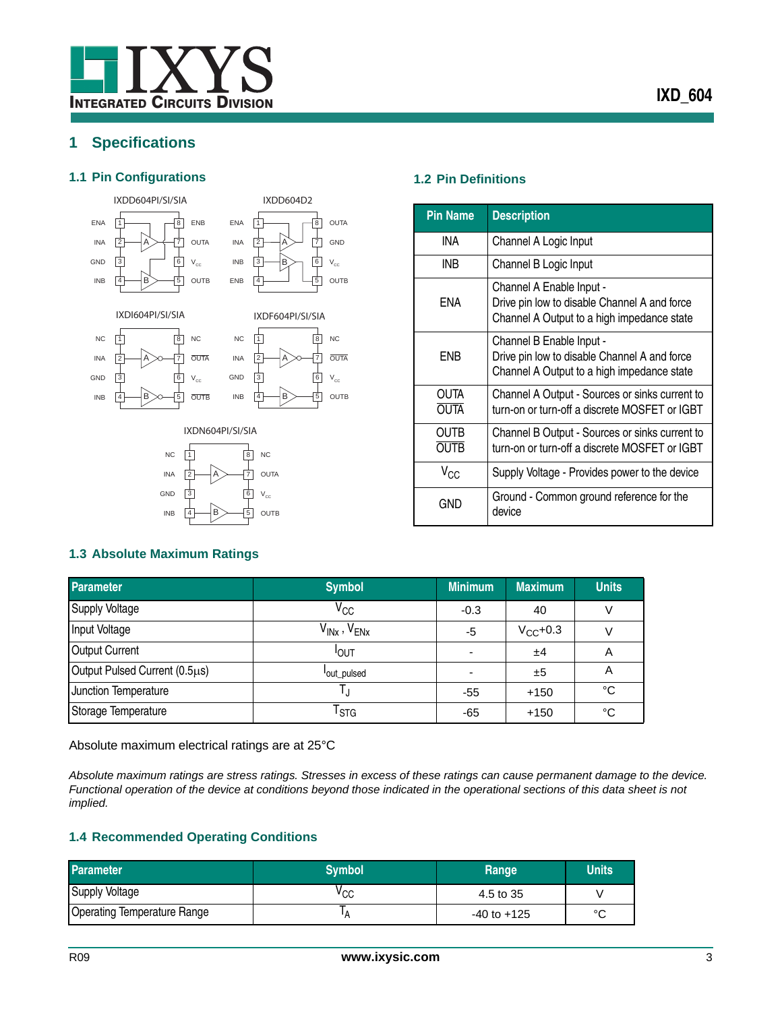## <span id="page-2-0"></span>**1 Specifications**

#### <span id="page-2-1"></span>**1.1 Pin Configurations 1.2 Pin Definitions**





IXDD604D2

IXDI604PI/SI/SIA

<span id="page-2-3"></span>**1.3 Absolute Maximum Ratings**







<span id="page-2-2"></span>

| <b>Pin Name</b>     | <b>Description</b>                                                                                                     |
|---------------------|------------------------------------------------------------------------------------------------------------------------|
| INA                 | Channel A Logic Input                                                                                                  |
| INB                 | Channel B Logic Input                                                                                                  |
| ENA                 | Channel A Enable Input -<br>Drive pin low to disable Channel A and force<br>Channel A Output to a high impedance state |
| ENB                 | Channel B Enable Input -<br>Drive pin low to disable Channel A and force<br>Channel A Output to a high impedance state |
| OUTA<br><b>OUTA</b> | Channel A Output - Sources or sinks current to<br>turn-on or turn-off a discrete MOSFET or IGBT                        |
| OUTB<br><b>OUTB</b> | Channel B Output - Sources or sinks current to<br>turn-on or turn-off a discrete MOSFET or IGBT                        |
| $V_{CC}$            | Supply Voltage - Provides power to the device                                                                          |
| GND                 | Ground - Common ground reference for the<br>device                                                                     |

### **Parameter Symbol Minimum Maximum Units**  $S$ upply Voltage  $V_{CC}$   $-0.3$  40 V Input Voltage  $V_{\sf INx}$  ,  $V_{\sf ENx}$  ,  $V_{\sf ENx}$   $-5$   $V_{\sf CC}$ +0.3 v Output Current **I** and I all the U<sub>OUT</sub> OUT - ±4 A Output Pulsed Current (0.5µs) out\_pulsed - ±5 A Junction Temperature T<sub>J</sub> T<sub>J</sub> -55 +150 °C Storage Temperature T<sub>STG</sub> T<sub>STG</sub> -65 +150 °C

Absolute maximum electrical ratings are at 25°C

*Absolute maximum ratings are stress ratings. Stresses in excess of these ratings can cause permanent damage to the device. Functional operation of the device at conditions beyond those indicated in the operational sections of this data sheet is not implied.* 

#### <span id="page-2-4"></span>**1.4 Recommended Operating Conditions**

| <b>Parameter</b>                   | <b>Symbol</b> | Range           | <b>Units</b> |
|------------------------------------|---------------|-----------------|--------------|
| Supply Voltage                     | vcc           | 4.5 to 35       |              |
| <b>Operating Temperature Range</b> |               | $-40$ to $+125$ | $\circ$      |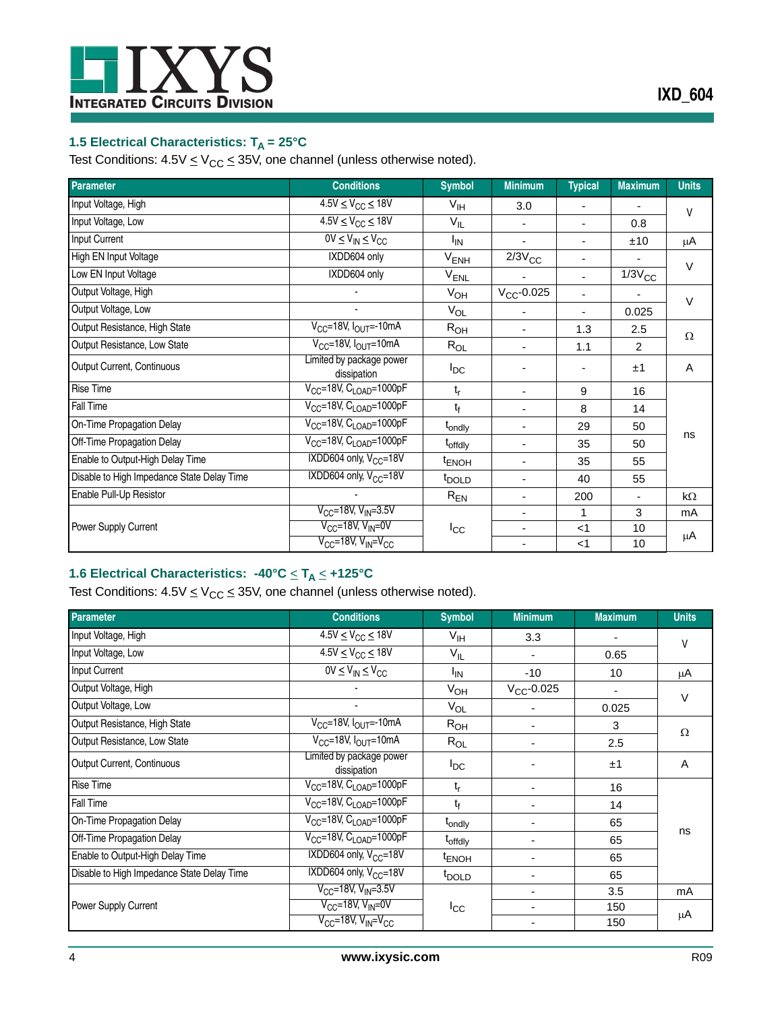

## <span id="page-3-0"></span>**1.5 Electrical Characteristics: T<sub>A</sub> = 25°C**

Test Conditions:  $4.5V \leq V_{CC} \leq 35V$ , one channel (unless otherwise noted).

| <b>Parameter</b>                           | <b>Conditions</b>                       | <b>Symbol</b>       | <b>Minimum</b>  | <b>Typical</b>           | <b>Maximum</b>                | <b>Units</b> |
|--------------------------------------------|-----------------------------------------|---------------------|-----------------|--------------------------|-------------------------------|--------------|
| Input Voltage, High                        | $4.5V \leq V_{CC} \leq 18V$             | $V_{\text{IH}}$     | 3.0             |                          |                               | $\vee$       |
| Input Voltage, Low                         | $4.5V \leq V_{CC} \leq 18V$             | $V_{IL}$            |                 | $\overline{\phantom{0}}$ | 0.8                           |              |
| Input Current                              | $0V \leq V_{IN} \leq V_{CC}$            | Ι'IN                | ٠               |                          | ±10                           | μA           |
| High EN Input Voltage                      | IXDD604 only                            | $V_{ENH}$           | $2/3V_{\rm CC}$ |                          |                               | $\vee$       |
| Low EN Input Voltage                       | IXDD604 only                            | V <sub>ENL</sub>    |                 |                          | $\overline{1/3}V_{\text{CC}}$ |              |
| Output Voltage, High                       |                                         | $V_{OH}$            | $V_{CC}$ -0.025 |                          |                               | $\vee$       |
| Output Voltage, Low                        |                                         | $V_{OL}$            |                 |                          | 0.025                         |              |
| Output Resistance, High State              | $V_{CC}$ =18V, $I_{OUT}$ =-10mA         | $R_{OH}$            | $\blacksquare$  | 1.3                      | 2.5                           | $\Omega$     |
| Output Resistance, Low State               | $V_{CC}$ =18V, $I_{OUT}$ =10mA          | $R_{OL}$            | ٠               | 1.1                      | 2                             |              |
| Output Current, Continuous                 | Limited by package power<br>dissipation | $I_{DC}$            |                 |                          | ±1                            | A            |
| <b>Rise Time</b>                           | $V_{CC}$ =18V, $C_{LOAD}$ =1000pF       | t,                  | $\blacksquare$  | 9                        | 16                            |              |
| Fall Time                                  | $V_{CC}$ =18V, $C_{LOAD}$ =1000pF       | $t_{\rm f}$         | $\blacksquare$  | 8                        | 14                            |              |
| On-Time Propagation Delay                  | $V_{CC}$ =18V, $C_{LOAD}$ =1000pF       | t <sub>ondly</sub>  | ٠               | 29                       | 50                            |              |
| Off-Time Propagation Delay                 | $V_{CC}$ =18V, $C_{LOAD}$ =1000pF       | t <sub>offdly</sub> | ٠               | 35                       | 50                            | ns           |
| Enable to Output-High Delay Time           | IXDD604 only, V <sub>CC</sub> =18V      | <sup>t</sup> ENOH   | $\blacksquare$  | 35                       | 55                            |              |
| Disable to High Impedance State Delay Time | IXDD604 only, $V_{CC}$ =18V             | <sup>t</sup> DOLD   | ٠               | 40                       | 55                            |              |
| Enable Pull-Up Resistor                    |                                         | $R_{EN}$            | $\blacksquare$  | 200                      |                               | $k\Omega$    |
|                                            | $V_{CC}$ =18V, V <sub>IN</sub> =3.5V    |                     | $\blacksquare$  | 1                        | 3                             | mA           |
| <b>Power Supply Current</b>                | $V_{CC}$ =18V, $V_{IN}$ =0V             | $I_{\rm CC}$        | $\blacksquare$  | $<$ 1                    | 10                            | μA           |
|                                            | $V_{CC}$ =18V, $V_{IN}$ = $V_{CC}$      |                     | ٠               | $<$ 1                    | 10                            |              |

### <span id="page-3-1"></span>**1.6 Electrical Characteristics: -40°C** < **TA** < **+125°C**

Test Conditions:  $4.5V \leq V<sub>CC</sub> \leq 35V$ , one channel (unless otherwise noted).

| <b>Parameter</b>                           | <b>Conditions</b>                                                              | <b>Symbol</b>       | <b>Minimum</b>  | <b>Maximum</b> | <b>Units</b> |
|--------------------------------------------|--------------------------------------------------------------------------------|---------------------|-----------------|----------------|--------------|
| Input Voltage, High                        | $4.5V \leq V_{CC} \leq 18V$                                                    | $V_{\text{IH}}$     | 3.3             |                | $\vee$       |
| Input Voltage, Low                         | $\frac{4.5 \text{V}}{4.5 \text{V}} \leq \text{V}_{\text{CC}} \leq 18 \text{V}$ | $V_{IL}$            |                 | 0.65           |              |
| Input Current                              | $0V \leq V_{IN} \leq V_{CC}$                                                   | <sup>I</sup> IN     | $-10$           | 10             | μA           |
| Output Voltage, High                       |                                                                                | $V_{OH}$            | $V_{CC}$ -0.025 |                |              |
| Output Voltage, Low                        |                                                                                | $V_{OL}$            |                 | 0.025          | $\vee$       |
| Output Resistance, High State              | $V_{CC}$ =18V, $I_{OUT}$ =-10mA                                                | R <sub>OH</sub>     |                 | 3              | $\Omega$     |
| Output Resistance, Low State               | $V_{CC}$ =18V, $I_{OUT}$ =10mA                                                 | $R_{OL}$            |                 | 2.5            |              |
| Output Current, Continuous                 | Limited by package power<br>dissipation                                        | $I_{DC}$            |                 | ±1             | A            |
| <b>Rise Time</b>                           | V <sub>CC</sub> =18V, C <sub>LOAD</sub> =1000pF                                | t,                  |                 | 16             |              |
| Fall Time                                  | $V_{CC}$ =18V, $C_{LOAD}$ =1000pF                                              | t <sub>f</sub>      |                 | 14             |              |
| On-Time Propagation Delay                  | $V_{CC}$ =18V, $C_{LOAD}$ =1000pF                                              | t <sub>ondly</sub>  |                 | 65             |              |
| Off-Time Propagation Delay                 | $V_{CC}$ =18V, $C_{LOAD}$ =1000pF                                              | t <sub>offdly</sub> |                 | 65             | ns           |
| Enable to Output-High Delay Time           | IXDD604 only, $V_{CC}$ =18V                                                    | <sup>t</sup> ENOH   |                 | 65             |              |
| Disable to High Impedance State Delay Time | IXDD604 only, V <sub>CC</sub> =18V                                             | t <sub>DOLD</sub>   |                 | 65             |              |
|                                            | $V_{CC}$ =18V, V <sub>IN</sub> =3.5V                                           |                     |                 | 3.5            | mA           |
| Power Supply Current                       | $V_{CC}$ =18V, $V_{IN}$ =0V                                                    | $I_{\rm CC}$        |                 | 150            | μA           |
|                                            | V <sub>CC</sub> =18V, V <sub>IN</sub> =V <sub>CC</sub>                         |                     |                 | 150            |              |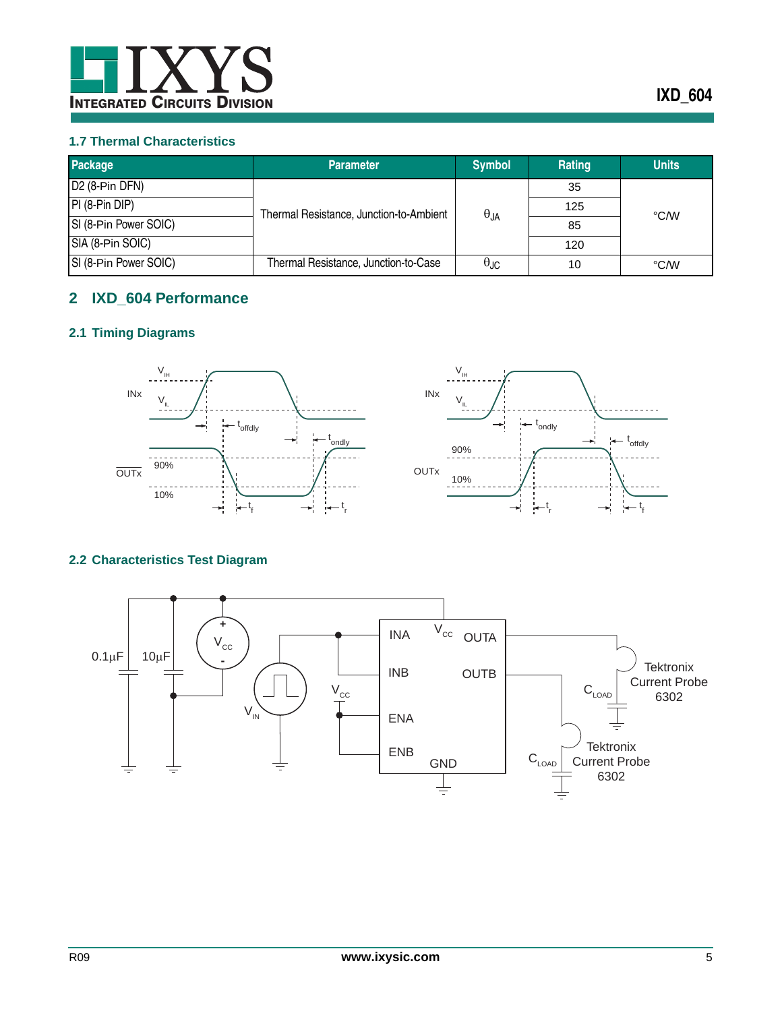

#### <span id="page-4-0"></span>**1.7 Thermal Characteristics**

| Package                     | <b>Parameter</b>                        | <b>Symbol</b>        | Rating | <b>Units</b> |
|-----------------------------|-----------------------------------------|----------------------|--------|--------------|
| $\overline{D2}$ (8-Pin DFN) |                                         |                      | 35     |              |
| $PI(8-Pin DIP)$             | Thermal Resistance, Junction-to-Ambient | $\theta_{JA}$        | 125    | °C/W         |
| SI (8-Pin Power SOIC)       |                                         |                      | 85     |              |
| SIA (8-Pin SOIC)            |                                         |                      | 120    |              |
| SI (8-Pin Power SOIC)       | Thermal Resistance, Junction-to-Case    | $\theta_{\text{JC}}$ | 10     | °C/W         |

## <span id="page-4-1"></span>**2 IXD\_604 Performance**

## <span id="page-4-2"></span>**2.1 Timing Diagrams**



#### <span id="page-4-3"></span>**2.2 Characteristics Test Diagram**

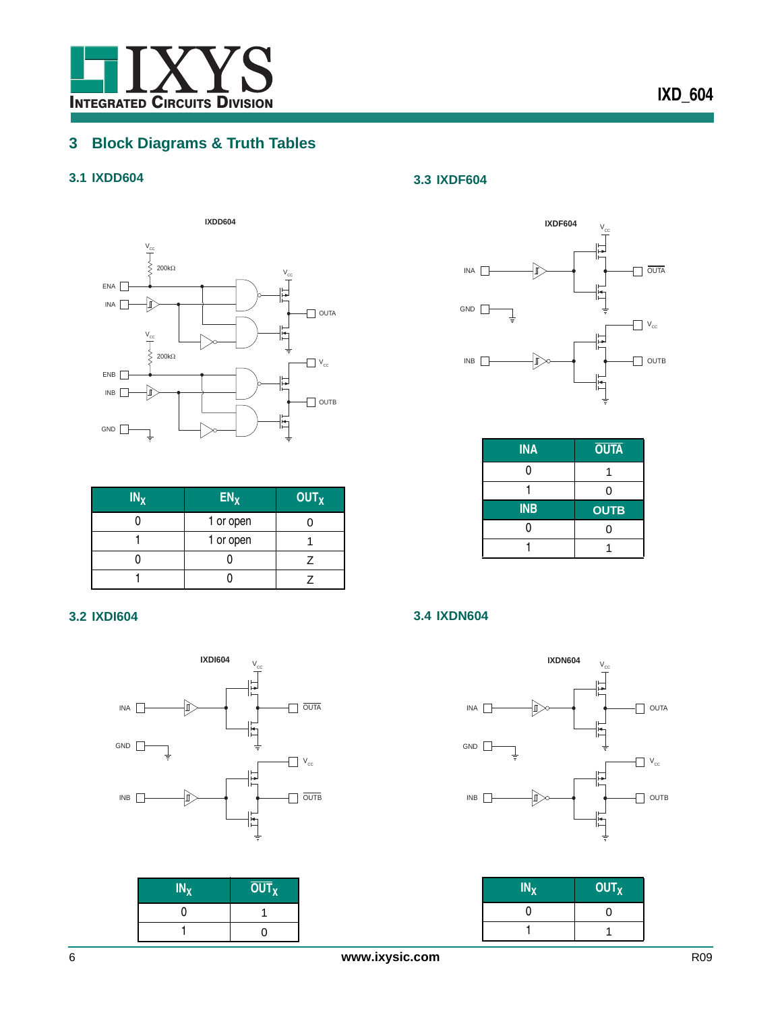

# <span id="page-5-0"></span>**3 Block Diagrams & Truth Tables**

## <span id="page-5-1"></span>**3.1 IXDD604**



| $IN_X$ | EN <sub>X</sub> | <b>OUT<sub>X</sub></b> |
|--------|-----------------|------------------------|
|        | 1 or open       |                        |
|        | 1 or open       |                        |
|        |                 |                        |
|        |                 |                        |

#### <span id="page-5-2"></span>**3.2 IXDI604**



| $IN_X$ | $\overline{OUT}_X$ |
|--------|--------------------|
|        |                    |
|        |                    |

### <span id="page-5-3"></span>**3.3 IXDF604**



| <b>INA</b> | <b>OUTA</b> |  |
|------------|-------------|--|
|            |             |  |
|            | ი           |  |
|            |             |  |
| <b>INB</b> | <b>OUTB</b> |  |
|            | U           |  |

#### <span id="page-5-4"></span>**3.4 IXDN604**



| $IN_X$ | <b>OUT<sub>X</sub></b> |
|--------|------------------------|
| 0      | וו                     |
|        |                        |

#### 6 **www.ixysic.com** R09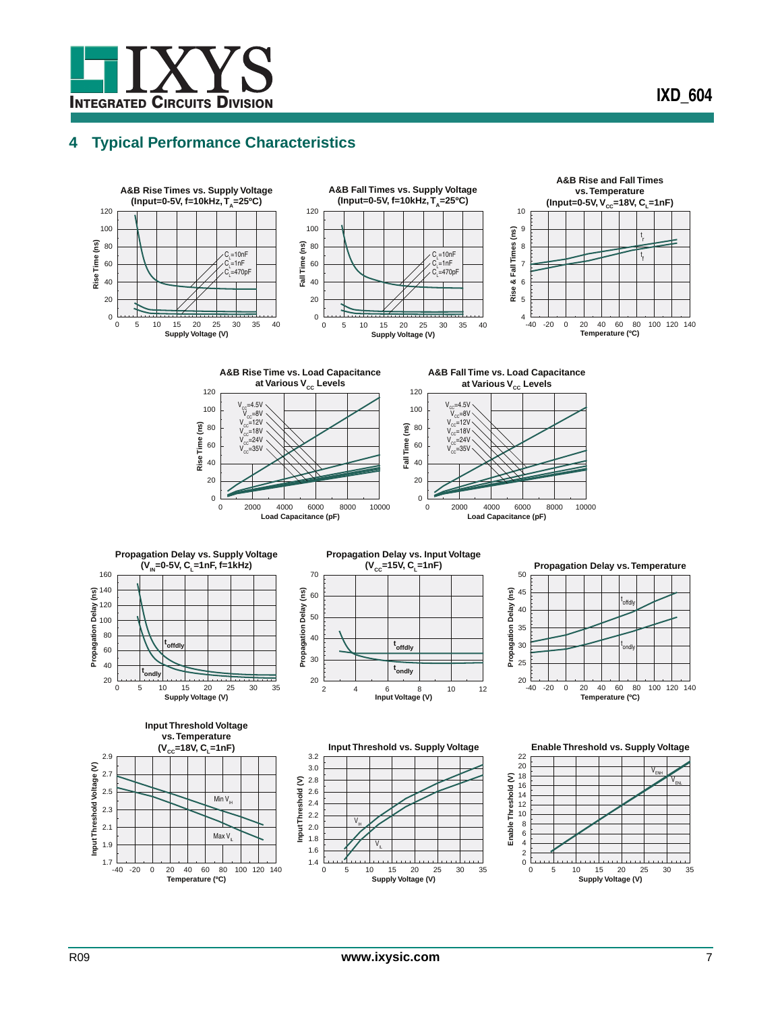## <span id="page-6-0"></span>**4 Typical Performance Characteristics**





70





















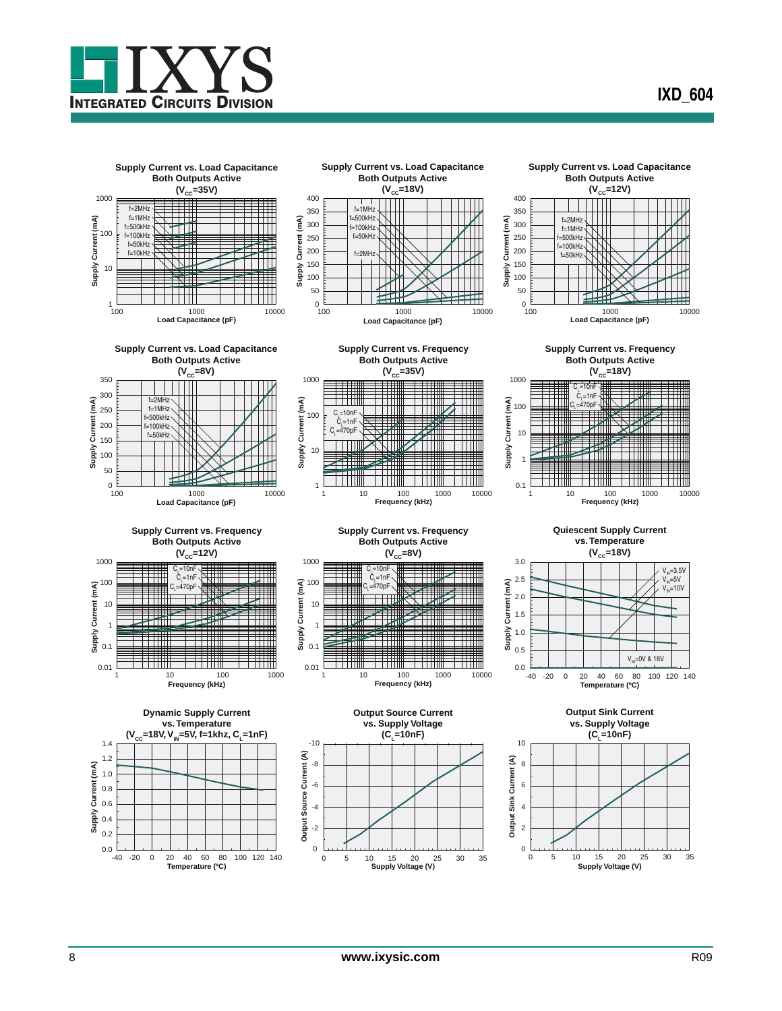

**IXD\_604**

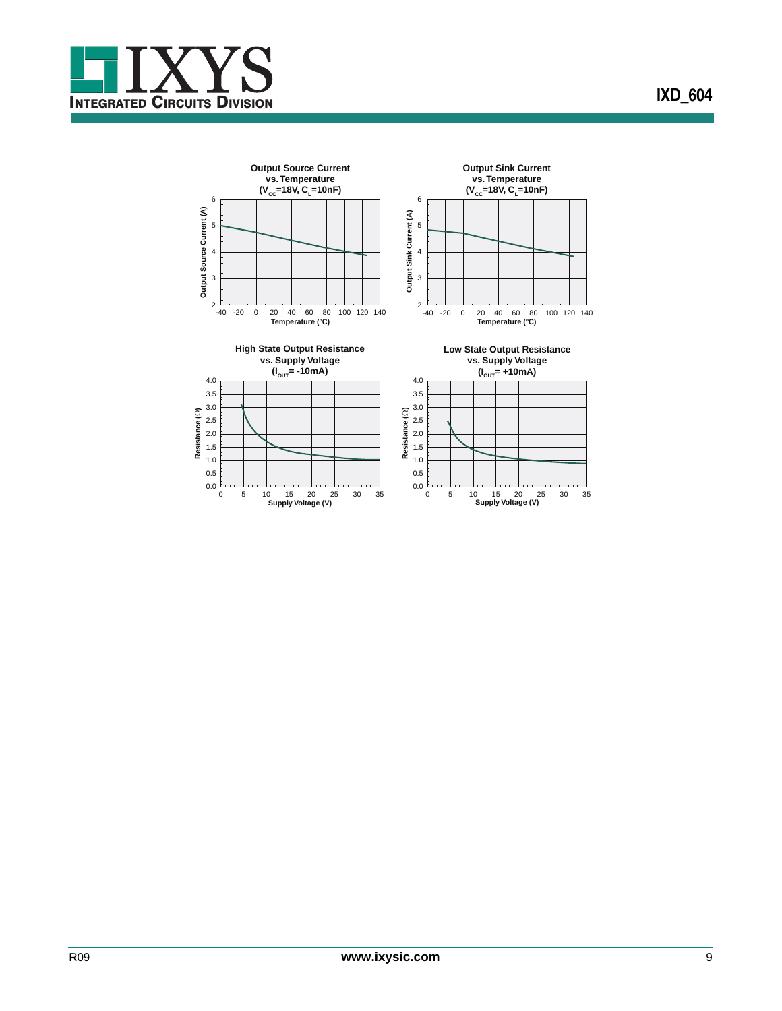

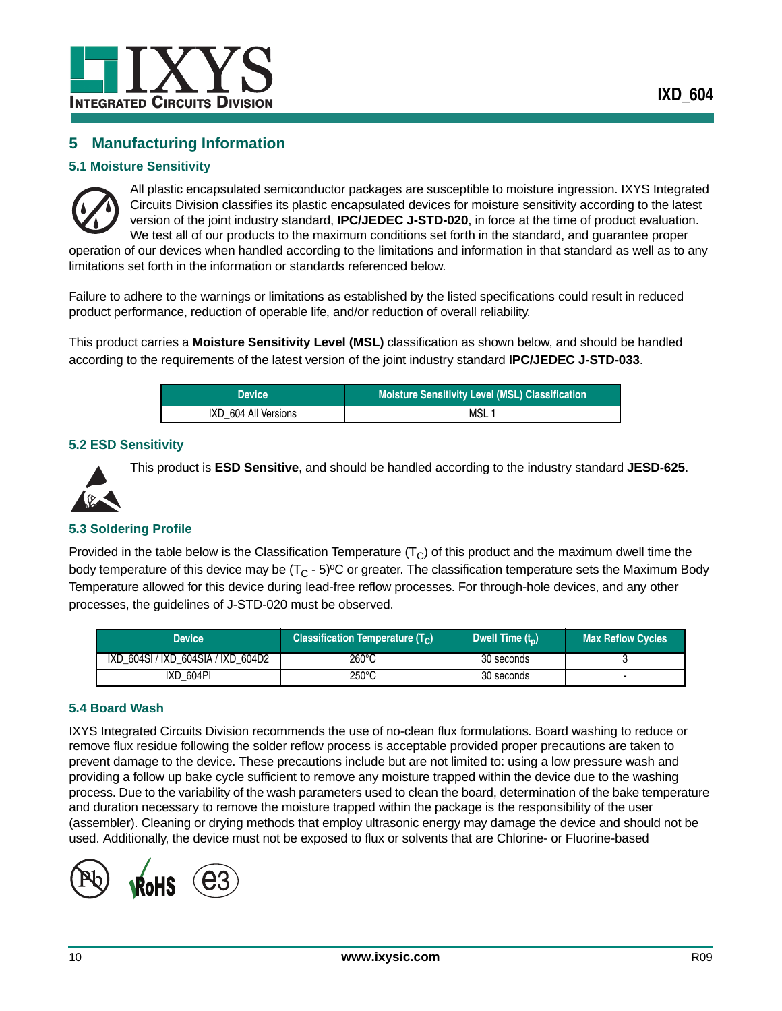

## <span id="page-9-0"></span>**5 Manufacturing Information**

#### <span id="page-9-1"></span>**5.1 Moisture Sensitivity**



All plastic encapsulated semiconductor packages are susceptible to moisture ingression. IXYS Integrated Circuits Division classifies its plastic encapsulated devices for moisture sensitivity according to the latest version of the joint industry standard, **IPC/JEDEC J-STD-020**, in force at the time of product evaluation. We test all of our products to the maximum conditions set forth in the standard, and guarantee proper operation of our devices when handled according to the limitations and information in that standard as well as to any

limitations set forth in the information or standards referenced below.

Failure to adhere to the warnings or limitations as established by the listed specifications could result in reduced product performance, reduction of operable life, and/or reduction of overall reliability.

This product carries a **Moisture Sensitivity Level (MSL)** classification as shown below, and should be handled according to the requirements of the latest version of the joint industry standard **IPC/JEDEC J-STD-033**.

| <b>Device</b>        | <b>Moisture Sensitivity Level (MSL) Classification</b> |
|----------------------|--------------------------------------------------------|
| IXD 604 All Versions | MSL                                                    |

#### <span id="page-9-2"></span>**5.2 ESD Sensitivity**



This product is **ESD Sensitive**, and should be handled according to the industry standard **JESD-625**.

#### <span id="page-9-3"></span>**5.3 Soldering Profile**

Provided in the table below is the Classification Temperature  $(T<sub>C</sub>)$  of this product and the maximum dwell time the body temperature of this device may be  $(T<sub>C</sub> - 5)$ <sup>o</sup>C or greater. The classification temperature sets the Maximum Body Temperature allowed for this device during lead-free reflow processes. For through-hole devices, and any other processes, the guidelines of J-STD-020 must be observed.

| Device                             | <b>Classification Temperature (T<sub>c</sub>)</b> | Dwell Time $(t_n)$ | <b>Max Reflow Cycles</b> |
|------------------------------------|---------------------------------------------------|--------------------|--------------------------|
| IXD 604SI / IXD 604SIA / IXD 604D2 | $260^{\circ}$ C                                   | 30 seconds         |                          |
| IXD 604PI                          | 250°C                                             | 30 seconds         |                          |

#### <span id="page-9-4"></span>**5.4 Board Wash**

IXYS Integrated Circuits Division recommends the use of no-clean flux formulations. Board washing to reduce or remove flux residue following the solder reflow process is acceptable provided proper precautions are taken to prevent damage to the device. These precautions include but are not limited to: using a low pressure wash and providing a follow up bake cycle sufficient to remove any moisture trapped within the device due to the washing process. Due to the variability of the wash parameters used to clean the board, determination of the bake temperature and duration necessary to remove the moisture trapped within the package is the responsibility of the user (assembler). Cleaning or drying methods that employ ultrasonic energy may damage the device and should not be used. Additionally, the device must not be exposed to flux or solvents that are Chlorine- or Fluorine-based

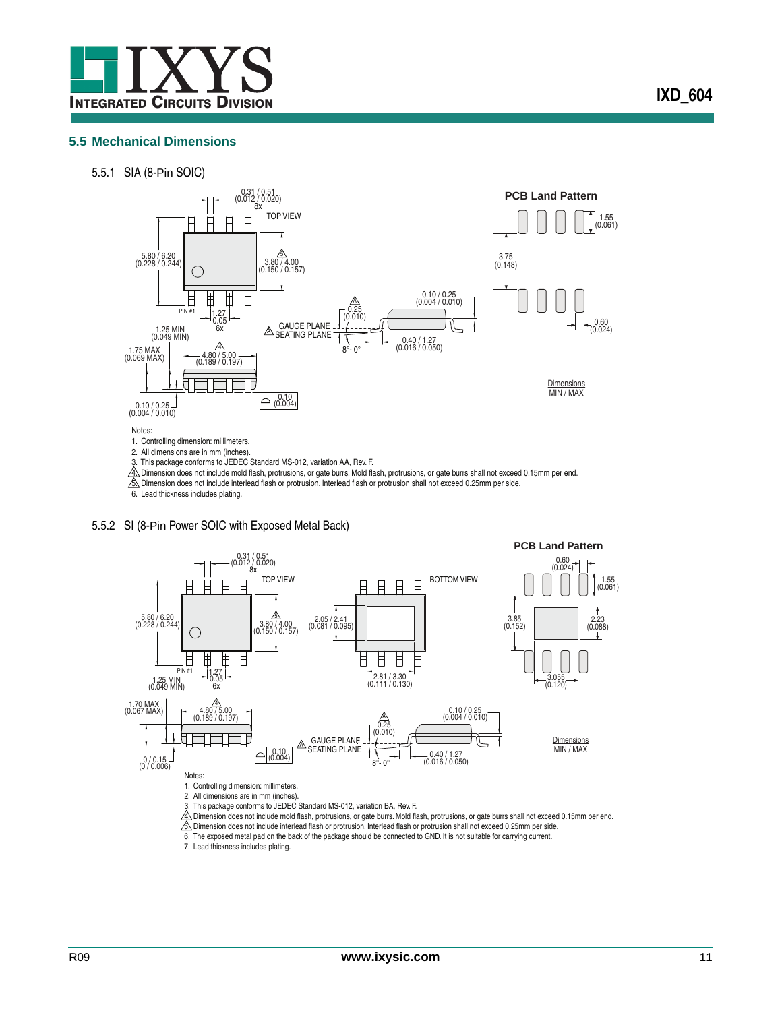

#### <span id="page-10-0"></span>**5.5 Mechanical Dimensions**

5.5.1 SIA (8-Pin SOIC)



3. This package conforms to JEDEC Standard MS-012, variation AA, Rev. F.

 $4\!\pm\!$  Dimension does not include mold flash, protrusions, or gate burrs. Mold flash, protrusions, or gate burrs shall not exceed 0.15mm per end.

5. Dimension does not include interlead flash or protrusion. Interlead flash or protrusion shall not exceed 0.25mm per side.

6. Lead thickness includes plating.

#### 5.5.2 SI (8-Pin Power SOIC with Exposed Metal Back)



4∆ Dimension does not include mold flash, protrusions, or gate burrs. Mold flash, protrusions, or gate burrs shall not exceed 0.15mm per end.<br><u>Ŝ∧</u> Dimension does not include interlead flash or protrusion. Interlead flash

6. The exposed metal pad on the back of the package should be connected to GND. It is not suitable for carrying current.

7. Lead thickness includes plating.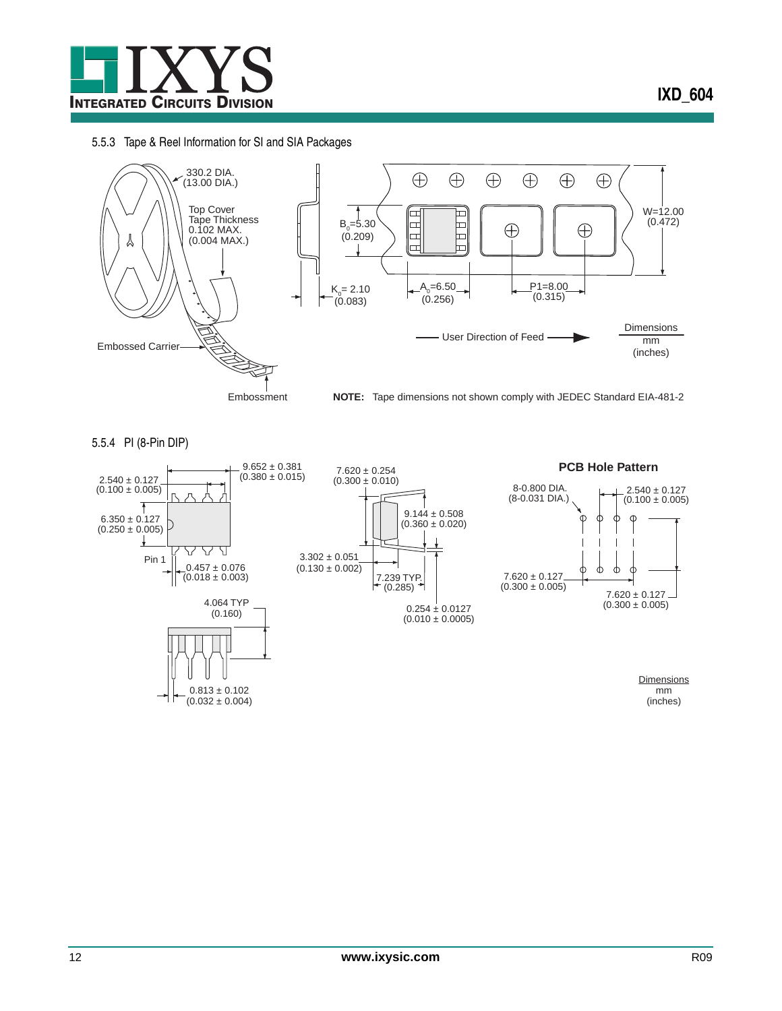

#### 5.5.3 Tape & Reel Information for SI and SIA Packages

 $(0.032 \pm 0.004)$ 



5.5.4 PI (8-Pin DIP)



mm (inches)